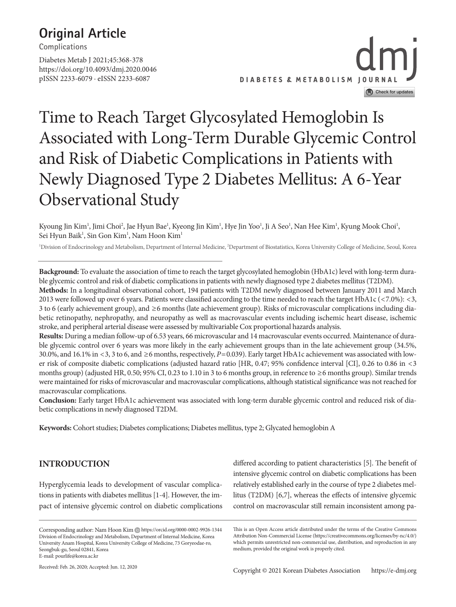# **Original Article**

**Complications**

https://doi.org/10.4093/dmj.2020.0046 pISSN 2233-6079 · eISSN 2233-6087 Diabetes Metab J 2021;45:368-378



# Time to Reach Target Glycosylated Hemoglobin Is Associated with Long-Term Durable Glycemic Control and Risk of Diabetic Complications in Patients with Newly Diagnosed Type 2 Diabetes Mellitus: A 6-Year Observational Study

Kyoung Jin Kim<sup>1</sup>, Jimi Choi<sup>2</sup>, Jae Hyun Bae<sup>1</sup>, Kyeong Jin Kim<sup>1</sup>, Hye Jin Yoo<sup>1</sup>, Ji A Seo<sup>1</sup>, Nan Hee Kim<sup>1</sup>, Kyung Mook Choi<sup>1</sup>, Sei Hyun Baik<sup>1</sup>, Sin Gon Kim<sup>1</sup>, Nam Hoon Kim<sup>1</sup>

<sup>1</sup>Division of Endocrinology and Metabolism, Department of Internal Medicine, <sup>2</sup>Department of Biostatistics, Korea University College of Medicine, Seoul, Korea

**Background:** To evaluate the association of time to reach the target glycosylated hemoglobin (HbA1c) level with long-term durable glycemic control and risk of diabetic complications in patients with newly diagnosed type 2 diabetes mellitus (T2DM).

**Methods:** In a longitudinal observational cohort, 194 patients with T2DM newly diagnosed between January 2011 and March 2013 were followed up over 6 years. Patients were classified according to the time needed to reach the target HbA1c (<7.0%): <3, 3 to 6 (early achievement group), and  $\geq$ 6 months (late achievement group). Risks of microvascular complications including diabetic retinopathy, nephropathy, and neuropathy as well as macrovascular events including ischemic heart disease, ischemic stroke, and peripheral arterial disease were assessed by multivariable Cox proportional hazards analysis.

**Results:** During a median follow-up of 6.53 years, 66 microvascular and 14 macrovascular events occurred. Maintenance of durable glycemic control over 6 years was more likely in the early achievement groups than in the late achievement group (34.5%, 30.0%, and 16.1% in <3, 3 to 6, and ≥6 months, respectively, *P*=0.039). Early target HbA1c achievement was associated with lower risk of composite diabetic complications (adjusted hazard ratio [HR, 0.47; 95% confidence interval [CI], 0.26 to 0.86 in <3 months group) (adjusted HR, 0.50; 95% CI, 0.23 to 1.10 in 3 to 6 months group, in reference to ≥6 months group). Similar trends were maintained for risks of microvascular and macrovascular complications, although statistical significance was not reached for macrovascular complications.

**Conclusion:** Early target HbA1c achievement was associated with long-term durable glycemic control and reduced risk of diabetic complications in newly diagnosed T2DM.

**Keywords:** Cohort studies; Diabetes complications; Diabetes mellitus, type 2; Glycated hemoglobin A

# **INTRODUCTION**

Hyperglycemia leads to development of vascular complications in patients with diabetes mellitus [1-4]. However, the impact of intensive glycemic control on diabetic complications

Corresponding author: Nam Hoon Kim Dhttps://orcid.org/0000-0002-9926-1344 Division of Endocrinology and Metabolism, Department of Internal Medicine, Korea University Anam Hospital, Korea University College of Medicine, 73 Goryeodae-ro, Seongbuk-gu, Seoul 02841, Korea E-mail: pourlife@korea.ac.kr

differed according to patient characteristics [5]. The benefit of intensive glycemic control on diabetic complications has been relatively established early in the course of type 2 diabetes mellitus (T2DM) [6,7], whereas the effects of intensive glycemic control on macrovascular still remain inconsistent among pa-

This is an Open Access article distributed under the terms of the Creative Commons Attribution Non-Commercial License (https://creativecommons.org/licenses/by-nc/4.0/) which permits unrestricted non-commercial use, distribution, and reproduction in any medium, provided the original work is properly cited.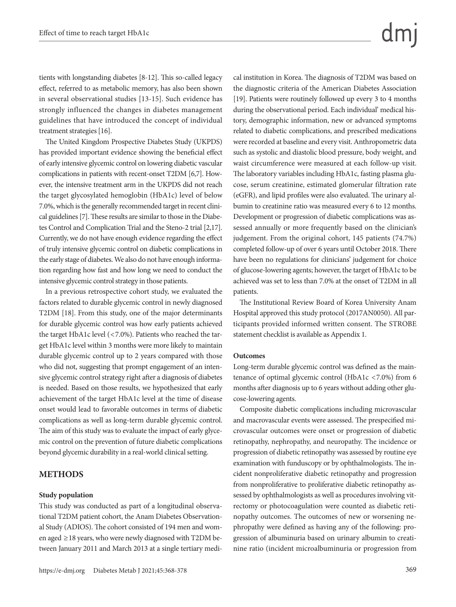tients with longstanding diabetes [8-12]. This so-called legacy effect, referred to as metabolic memory, has also been shown in several observational studies [13-15]. Such evidence has strongly influenced the changes in diabetes management guidelines that have introduced the concept of individual treatment strategies [16].

The United Kingdom Prospective Diabetes Study (UKPDS) has provided important evidence showing the beneficial effect of early intensive glycemic control on lowering diabetic vascular complications in patients with recent-onset T2DM [6,7]. However, the intensive treatment arm in the UKPDS did not reach the target glycosylated hemoglobin (HbA1c) level of below 7.0%, which is the generally recommended target in recent clinical guidelines [7]. These results are similar to those in the Diabetes Control and Complication Trial and the Steno-2 trial [2,17]. Currently, we do not have enough evidence regarding the effect of truly intensive glycemic control on diabetic complications in the early stage of diabetes. We also do not have enough information regarding how fast and how long we need to conduct the intensive glycemic control strategy in those patients.

In a previous retrospective cohort study, we evaluated the factors related to durable glycemic control in newly diagnosed T2DM [18]. From this study, one of the major determinants for durable glycemic control was how early patients achieved the target HbA1c level (<7.0%). Patients who reached the target HbA1c level within 3 months were more likely to maintain durable glycemic control up to 2 years compared with those who did not, suggesting that prompt engagement of an intensive glycemic control strategy right after a diagnosis of diabetes is needed. Based on those results, we hypothesized that early achievement of the target HbA1c level at the time of disease onset would lead to favorable outcomes in terms of diabetic complications as well as long-term durable glycemic control. The aim of this study was to evaluate the impact of early glycemic control on the prevention of future diabetic complications beyond glycemic durability in a real-world clinical setting.

# **METHODS**

# **Study population**

This study was conducted as part of a longitudinal observational T2DM patient cohort, the Anam Diabetes Observational Study (ADIOS). The cohort consisted of 194 men and women aged ≥18 years, who were newly diagnosed with T2DM between January 2011 and March 2013 at a single tertiary medical institution in Korea. The diagnosis of T2DM was based on the diagnostic criteria of the American Diabetes Association [19]. Patients were routinely followed up every 3 to 4 months during the observational period. Each individual' medical history, demographic information, new or advanced symptoms related to diabetic complications, and prescribed medications were recorded at baseline and every visit. Anthropometric data such as systolic and diastolic blood pressure, body weight, and waist circumference were measured at each follow-up visit. The laboratory variables including HbA1c, fasting plasma glucose, serum creatinine, estimated glomerular filtration rate (eGFR), and lipid profiles were also evaluated. The urinary albumin to creatinine ratio was measured every 6 to 12 months. Development or progression of diabetic complications was assessed annually or more frequently based on the clinician's judgement. From the original cohort, 145 patients (74.7%) completed follow-up of over 6 years until October 2018. There have been no regulations for clinicians' judgement for choice of glucose-lowering agents; however, the target of HbA1c to be achieved was set to less than 7.0% at the onset of T2DM in all patients.

The Institutional Review Board of Korea University Anam Hospital approved this study protocol (2017AN0050). All participants provided informed written consent. The STROBE statement checklist is available as Appendix 1.

## **Outcomes**

Long-term durable glycemic control was defined as the maintenance of optimal glycemic control (HbA1c <7.0%) from 6 months after diagnosis up to 6 years without adding other glucose-lowering agents.

Composite diabetic complications including microvascular and macrovascular events were assessed. The prespecified microvascular outcomes were onset or progression of diabetic retinopathy, nephropathy, and neuropathy. The incidence or progression of diabetic retinopathy was assessed by routine eye examination with funduscopy or by ophthalmologists. The incident nonproliferative diabetic retinopathy and progression from nonproliferative to proliferative diabetic retinopathy assessed by ophthalmologists as well as procedures involving vitrectomy or photocoagulation were counted as diabetic retinopathy outcomes. The outcomes of new or worsening nephropathy were defined as having any of the following: progression of albuminuria based on urinary albumin to creatinine ratio (incident microalbuminuria or progression from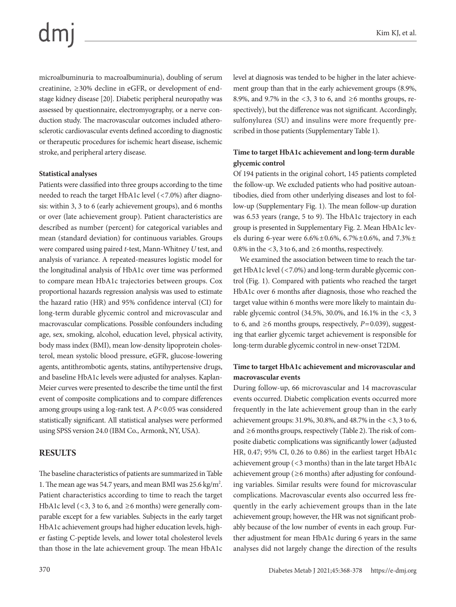microalbuminuria to macroalbuminuria), doubling of serum creatinine,  $\geq$  30% decline in eGFR, or development of endstage kidney disease [20]. Diabetic peripheral neuropathy was assessed by questionnaire, electromyography, or a nerve conduction study. The macrovascular outcomes included atherosclerotic cardiovascular events defined according to diagnostic or therapeutic procedures for ischemic heart disease, ischemic stroke, and peripheral artery disease.

## **Statistical analyses**

Patients were classified into three groups according to the time needed to reach the target HbA1c level (<7.0%) after diagnosis: within 3, 3 to 6 (early achievement groups), and 6 months or over (late achievement group). Patient characteristics are described as number (percent) for categorical variables and mean (standard deviation) for continuous variables. Groups were compared using paired *t*-test, Mann-Whitney *U* test, and analysis of variance. A repeated-measures logistic model for the longitudinal analysis of HbA1c over time was performed to compare mean HbA1c trajectories between groups. Cox proportional hazards regression analysis was used to estimate the hazard ratio (HR) and 95% confidence interval (CI) for long-term durable glycemic control and microvascular and macrovascular complications. Possible confounders including age, sex, smoking, alcohol, education level, physical activity, body mass index (BMI), mean low-density lipoprotein cholesterol, mean systolic blood pressure, eGFR, glucose-lowering agents, antithrombotic agents, statins, antihypertensive drugs, and baseline HbA1c levels were adjusted for analyses. Kaplan-Meier curves were presented to describe the time until the first event of composite complications and to compare differences among groups using a log-rank test. A *P*<0.05 was considered statistically significant. All statistical analyses were performed using SPSS version 24.0 (IBM Co., Armonk, NY, USA).

# **RESULTS**

The baseline characteristics of patients are summarized in Table 1. The mean age was 54.7 years, and mean BMI was 25.6 kg/m<sup>2</sup>. Patient characteristics according to time to reach the target HbA1c level (<3, 3 to 6, and  $\geq$ 6 months) were generally comparable except for a few variables. Subjects in the early target HbA1c achievement groups had higher education levels, higher fasting C-peptide levels, and lower total cholesterol levels than those in the late achievement group. The mean HbA1c

level at diagnosis was tended to be higher in the later achievement group than that in the early achievement groups (8.9%, 8.9%, and 9.7% in the <3, 3 to 6, and  $\geq$ 6 months groups, respectively), but the difference was not significant. Accordingly, sulfonylurea (SU) and insulins were more frequently prescribed in those patients (Supplementary Table 1).

# **Time to target HbA1c achievement and long-term durable glycemic control**

Of 194 patients in the original cohort, 145 patients completed the follow-up. We excluded patients who had positive autoantibodies, died from other underlying diseases and lost to follow-up (Supplementary Fig. 1). The mean follow-up duration was 6.53 years (range, 5 to 9). The HbA1c trajectory in each group is presented in Supplementary Fig. 2. Mean HbA1c levels during 6-year were  $6.6\% \pm 0.6\%$ ,  $6.7\% \pm 0.6\%$ , and  $7.3\% \pm$ 0.8% in the <3, 3 to 6, and  $\geq$ 6 months, respectively.

We examined the association between time to reach the target HbA1c level (<7.0%) and long-term durable glycemic control (Fig. 1). Compared with patients who reached the target HbA1c over 6 months after diagnosis, those who reached the target value within 6 months were more likely to maintain durable glycemic control (34.5%, 30.0%, and 16.1% in the <3, 3 to 6, and  $\geq$ 6 months groups, respectively,  $P=0.039$ ), suggesting that earlier glycemic target achievement is responsible for long-term durable glycemic control in new-onset T2DM.

# **Time to target HbA1c achievement and microvascular and macrovascular events**

During follow-up, 66 microvascular and 14 macrovascular events occurred. Diabetic complication events occurred more frequently in the late achievement group than in the early achievement groups: 31.9%, 30.8%, and 48.7% in the <3, 3 to 6, and ≥6 months groups, respectively (Table 2). The risk of composite diabetic complications was significantly lower (adjusted HR, 0.47; 95% CI, 0.26 to 0.86) in the earliest target HbA1c achievement group (<3 months) than in the late target HbA1c achievement group ( $\geq 6$  months) after adjusting for confounding variables. Similar results were found for microvascular complications. Macrovascular events also occurred less frequently in the early achievement groups than in the late achievement group; however, the HR was not significant probably because of the low number of events in each group. Further adjustment for mean HbA1c during 6 years in the same analyses did not largely change the direction of the results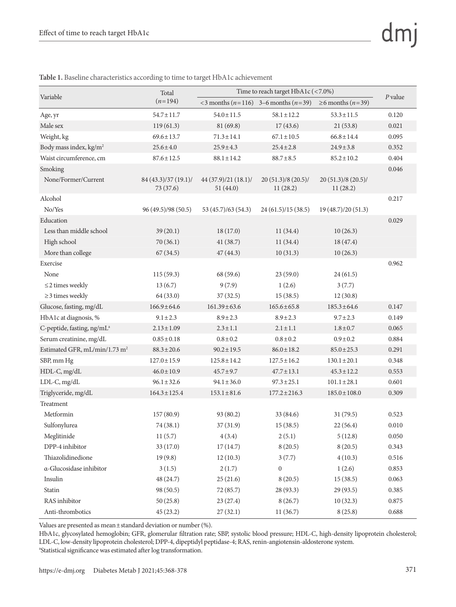|                                           | Total                             | Time to reach target HbA1c (<7.0%) |                                             |                                  |           |
|-------------------------------------------|-----------------------------------|------------------------------------|---------------------------------------------|----------------------------------|-----------|
| Variable                                  | $(n=194)$                         |                                    | <3 months ( $n=116$ ) 3-6 months ( $n=39$ ) | $\geq 6$ months ( <i>n</i> =39)  | $P$ value |
| Age, yr                                   | $54.7 \pm 11.7$                   | $54.0 \pm 11.5$                    | $58.1 \pm 12.2$                             | $53.3 \pm 11.5$                  | 0.120     |
| Male sex                                  | 119(61.3)                         | 81 (69.8)                          | 17(43.6)                                    | 21(53.8)                         | 0.021     |
| Weight, kg                                | $69.6 \pm 13.7$                   | $71.3 \pm 14.1$                    | $67.1 \pm 10.5$                             | $66.8 \pm 14.4$                  | 0.095     |
| Body mass index, kg/m <sup>2</sup>        | $25.6 \pm 4.0$                    | $25.9 \pm 4.3$                     | $25.4 \pm 2.8$                              | $24.9 \pm 3.8$                   | 0.352     |
| Waist circumference, cm                   | $87.6 \pm 12.5$                   | $88.1 \pm 14.2$                    | $88.7 \pm 8.5$                              | $85.2 \pm 10.2$                  | 0.404     |
| Smoking                                   |                                   |                                    |                                             |                                  | 0.046     |
| None/Former/Current                       | 84 (43.3)/37 (19.1)/<br>73 (37.6) | 44 (37.9)/21 (18.1)/<br>51(44.0)   | $20(51.3)/8(20.5)$ /<br>11(28.2)            | $20(51.3)/8(20.5)$ /<br>11(28.2) |           |
| Alcohol                                   |                                   |                                    |                                             |                                  | 0.217     |
| No/Yes                                    | 96 (49.5)/98 (50.5)               | 53 (45.7)/63 (54.3)                | 24(61.5)/15(38.5)                           | 19 (48.7)/20 (51.3)              |           |
| Education                                 |                                   |                                    |                                             |                                  | 0.029     |
| Less than middle school                   | 39(20.1)                          | 18(17.0)                           | 11(34.4)                                    | 10(26.3)                         |           |
| High school                               | 70(36.1)                          | 41 (38.7)                          | 11(34.4)                                    | 18 (47.4)                        |           |
| More than college                         | 67(34.5)                          | 47(44.3)                           | 10(31.3)                                    | 10(26.3)                         |           |
| Exercise                                  |                                   |                                    |                                             |                                  | 0.962     |
| None                                      | 115(59.3)                         | 68 (59.6)                          | 23(59.0)                                    | 24(61.5)                         |           |
| $\leq$ 2 times weekly                     | 13(6.7)                           | 9(7.9)                             | 1(2.6)                                      | 3(7.7)                           |           |
| $\geq$ 3 times weekly                     | 64 (33.0)                         | 37(32.5)                           | 15(38.5)                                    | 12(30.8)                         |           |
| Glucose, fasting, mg/dL                   | $166.9 \pm 64.6$                  | $161.39 \pm 63.6$                  | $165.6 \pm 65.8$                            | $185.3 \pm 64.6$                 | 0.147     |
| HbA1c at diagnosis, %                     | $9.1 \pm 2.3$                     | $8.9 \pm 2.3$                      | $8.9 \pm 2.3$                               | $9.7 \pm 2.3$                    | 0.149     |
| C-peptide, fasting, ng/mL <sup>a</sup>    | $2.13 \pm 1.09$                   | $2.3 \pm 1.1$                      | $2.1 \pm 1.1$                               | $1.8 \pm 0.7$                    | 0.065     |
| Serum creatinine, mg/dL                   | $0.85 \pm 0.18$                   | $0.8 \pm 0.2$                      | $0.8 \pm 0.2$                               | $0.9 \pm 0.2$                    | 0.884     |
| Estimated GFR, mL/min/1.73 m <sup>2</sup> | $88.3 \pm 20.6$                   | $90.2 \pm 19.5$                    | $86.0 \pm 18.2$                             | $85.0 \pm 25.3$                  | 0.291     |
| SBP, mm Hg                                | $127.0 \pm 15.9$                  | $125.8 \pm 14.2$                   | $127.5 \pm 16.2$                            | $130.1 \pm 20.1$                 | 0.348     |
| HDL-C, mg/dL                              | $46.0 \pm 10.9$                   | $45.7 \pm 9.7$                     | $47.7 \pm 13.1$                             | $45.3 \pm 12.2$                  | 0.553     |
| LDL-C, mg/dL                              | $96.1 \pm 32.6$                   | $94.1 \pm 36.0$                    | $97.3 \pm 25.1$                             | $101.1 \pm 28.1$                 | 0.601     |
| Triglyceride, mg/dL                       | $164.3 \pm 125.4$                 | $153.1 \pm 81.6$                   | $177.2 \pm 216.3$                           | $185.0 \pm 108.0$                | 0.309     |
| Treatment                                 |                                   |                                    |                                             |                                  |           |
| Metformin                                 | 157 (80.9)                        | 93 (80.2)                          | 33 (84.6)                                   | 31 (79.5)                        | 0.523     |
| Sulfonylurea                              | 74 (38.1)                         | 37(31.9)                           | 15(38.5)                                    | 22(56.4)                         | 0.010     |
| Meglitinide                               | 11(5.7)                           | 4(3.4)                             | 2(5.1)                                      | 5(12.8)                          | 0.050     |
| DPP-4 inhibitor                           | 33 (17.0)                         | 17(14.7)                           | 8(20.5)                                     | 8(20.5)                          | 0.343     |
| Thiazolidinedione                         | 19(9.8)                           | 12(10.3)                           | 3(7.7)                                      | 4(10.3)                          | 0.516     |
| $\alpha$ -Glucosidase inhibitor           | 3(1.5)                            | 2(1.7)                             | $\boldsymbol{0}$                            | 1(2.6)                           | 0.853     |
| Insulin                                   | 48 (24.7)                         | 25(21.6)                           | 8(20.5)                                     | 15(38.5)                         | 0.063     |
| Statin                                    | 98 (50.5)                         | 72 (85.7)                          | 28 (93.3)                                   | 29 (93.5)                        | 0.385     |
| RAS inhibitor                             | 50(25.8)                          | 23(27.4)                           | 8(26.7)                                     | 10(32.3)                         | 0.875     |
| Anti-thrombotics                          | 45(23.2)                          | 27(32.1)                           | 11(36.7)                                    | 8(25.8)                          | 0.688     |

**Table 1.** Baseline characteristics according to time to target HbA1c achievement

Values are presented as mean±standard deviation or number (%).

HbA1c, glycosylated hemoglobin; GFR, glomerular filtration rate; SBP, systolic blood pressure; HDL-C, high-density lipoprotein cholesterol; LDL-C, low-density lipoprotein cholesterol; DPP-4, dipeptidyl peptidase-4; RAS, renin-angiotensin-aldosterone system. a Statistical significance was estimated after log transformation.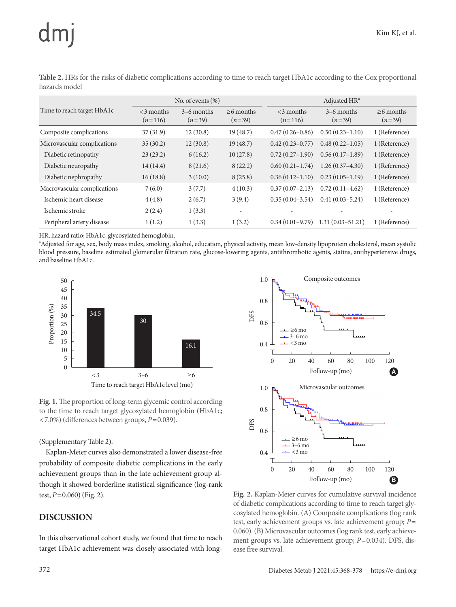|                             | No. of events $(\% )$     |                          |                             | Adjusted HR <sup>a</sup>  |                          |                             |
|-----------------------------|---------------------------|--------------------------|-----------------------------|---------------------------|--------------------------|-----------------------------|
| Time to reach target HbA1c  | $<$ 3 months<br>$(n=116)$ | $3-6$ months<br>$(n=39)$ | $\geq$ 6 months<br>$(n=39)$ | $<$ 3 months<br>$(n=116)$ | $3-6$ months<br>$(n=39)$ | $\geq$ 6 months<br>$(n=39)$ |
| Composite complications     | 37(31.9)                  | 12(30.8)                 | 19(48.7)                    | $0.47(0.26 - 0.86)$       | $0.50(0.23 - 1.10)$      | 1 (Reference)               |
| Microvascular complications | 35(30.2)                  | 12(30.8)                 | 19(48.7)                    | $0.42(0.23 - 0.77)$       | $0.48(0.22 - 1.05)$      | 1 (Reference)               |
| Diabetic retinopathy        | 23(23.2)                  | 6(16.2)                  | 10(27.8)                    | $0.72(0.27-1.90)$         | $0.56(0.17-1.89)$        | 1 (Reference)               |
| Diabetic neuropathy         | 14(14.4)                  | 8(21.6)                  | 8(22.2)                     | $0.60(0.21-1.74)$         | $1.26(0.37-4.30)$        | 1 (Reference)               |
| Diabetic nephropathy        | 16(18.8)                  | 3(10.0)                  | 8(25.8)                     | $0.36(0.12-1.10)$         | $0.23(0.05-1.19)$        | 1 (Reference)               |
| Macrovascular complications | 7(6.0)                    | 3(7.7)                   | 4(10.3)                     | $0.37(0.07-2.13)$         | $0.72(0.11-4.62)$        | 1 (Reference)               |
| Ischemic heart disease      | 4(4.8)                    | 2(6.7)                   | 3(9.4)                      | $0.35(0.04-3.54)$         | $0.41(0.03 - 5.24)$      | 1 (Reference)               |
| Ischemic stroke             | 2(2.4)                    | 1(3.3)                   | $\overline{\phantom{a}}$    |                           |                          |                             |
| Peripheral artery disease   | 1(1.2)                    | 1(3.3)                   | 1(3.2)                      | $0.34(0.01-9.79)$         | $1.31(0.03 - 51.21)$     | 1 (Reference)               |

**Table 2.** HRs for the risks of diabetic complications according to time to reach target HbA1c according to the Cox proportional hazards model

HR, hazard ratio; HbA1c, glycosylated hemoglobin.

a Adjusted for age, sex, body mass index, smoking, alcohol, education, physical activity, mean low-density lipoprotein cholesterol, mean systolic blood pressure, baseline estimated glomerular filtration rate, glucose-lowering agents, antithrombotic agents, statins, antihypertensive drugs, and baseline HbA1c.



**Fig. 1.** The proportion of long-term glycemic control according to the time to reach target glycosylated hemoglobin (HbA1c; <7.0%) (differences between groups, *P*=0.039).

## (Supplementary Table 2).

Kaplan-Meier curves also demonstrated a lower disease-free probability of composite diabetic complications in the early achievement groups than in the late achievement group although it showed borderline statistical significance (log-rank test, *P*=0.060) (Fig. 2).

# **DISCUSSION**

In this observational cohort study, we found that time to reach target HbA1c achievement was closely associated with long-



**Fig. 2.** Kaplan-Meier curves for cumulative survival incidence of diabetic complications according to time to reach target glycosylated hemoglobin. (A) Composite complications (log rank test, early achievement groups vs. late achievement group; *P*= 0.060). (B) Microvascular outcomes (log rank test, early achievement groups vs. late achievement group;  $P=0.034$ ). DFS, disease free survival.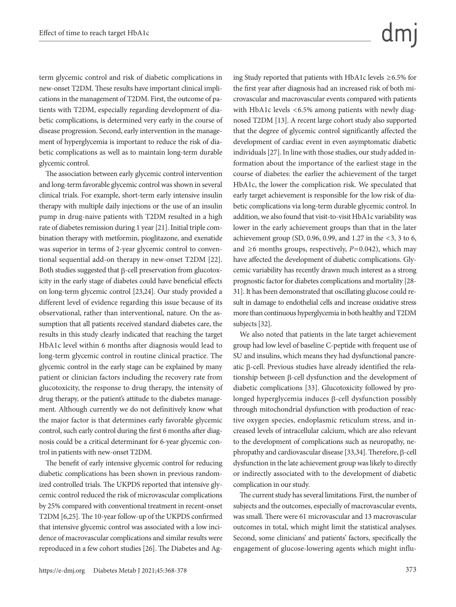term glycemic control and risk of diabetic complications in new-onset T2DM. These results have important clinical implications in the management of T2DM. First, the outcome of patients with T2DM, especially regarding development of diabetic complications, is determined very early in the course of disease progression. Second, early intervention in the management of hyperglycemia is important to reduce the risk of diabetic complications as well as to maintain long-term durable glycemic control.

The association between early glycemic control intervention and long-term favorable glycemic control was shown in several clinical trials. For example, short-term early intensive insulin therapy with multiple daily injections or the use of an insulin pump in drug-naive patients with T2DM resulted in a high rate of diabetes remission during 1 year [21]. Initial triple combination therapy with metformin, pioglitazone, and exenatide was superior in terms of 2-year glycemic control to conventional sequential add-on therapy in new-onset T2DM [22]. Both studies suggested that β-cell preservation from glucotoxicity in the early stage of diabetes could have beneficial effects on long-term glycemic control [23,24]. Our study provided a different level of evidence regarding this issue because of its observational, rather than interventional, nature. On the assumption that all patients received standard diabetes care, the results in this study clearly indicated that reaching the target HbA1c level within 6 months after diagnosis would lead to long-term glycemic control in routine clinical practice. The glycemic control in the early stage can be explained by many patient or clinician factors including the recovery rate from glucotoxicity, the response to drug therapy, the intensity of drug therapy, or the patient's attitude to the diabetes management. Although currently we do not definitively know what the major factor is that determines early favorable glycemic control, such early control during the first 6 months after diagnosis could be a critical determinant for 6-year glycemic control in patients with new-onset T2DM.

The benefit of early intensive glycemic control for reducing diabetic complications has been shown in previous randomized controlled trials. The UKPDS reported that intensive glycemic control reduced the risk of microvascular complications by 25% compared with conventional treatment in recent-onset T2DM [6,25]. The 10-year follow-up of the UKPDS confirmed that intensive glycemic control was associated with a low incidence of macrovascular complications and similar results were reproduced in a few cohort studies [26]. The Diabetes and Ag-

# ing Study reported that patients with HbA1c levels ≥6.5% for the first year after diagnosis had an increased risk of both microvascular and macrovascular events compared with patients with HbA1c levels <6.5% among patients with newly diagnosed T2DM [13]. A recent large cohort study also supported that the degree of glycemic control significantly affected the development of cardiac event in even asymptomatic diabetic individuals [27]. In line with those studies, our study added information about the importance of the earliest stage in the course of diabetes: the earlier the achievement of the target HbA1c, the lower the complication risk. We speculated that early target achievement is responsible for the low risk of diabetic complications via long-term durable glycemic control. In addition, we also found that visit-to-visit HbA1c variability was lower in the early achievement groups than that in the later

achievement group (SD, 0.96, 0.99, and 1.27 in the  $<3$ , 3 to 6, and  $\geq$ 6 months groups, respectively,  $P$ =0.042), which may have affected the development of diabetic complications. Glycemic variability has recently drawn much interest as a strong prognostic factor for diabetes complications and mortality [28- 31]. It has been demonstrated that oscillating glucose could result in damage to endothelial cells and increase oxidative stress more than continuous hyperglycemia in both healthy and T2DM subjects [32].

We also noted that patients in the late target achievement group had low level of baseline C-peptide with frequent use of SU and insulins, which means they had dysfunctional pancreatic β-cell. Previous studies have already identified the relationship between β-cell dysfunction and the development of diabetic complications [33]. Glucotoxicity followed by prolonged hyperglycemia induces β-cell dysfunction possibly through mitochondrial dysfunction with production of reactive oxygen species, endoplasmic reticulum stress, and increased levels of intracellular calcium, which are also relevant to the development of complications such as neuropathy, nephropathy and cardiovascular disease [33,34]. Therefore, β-cell dysfunction in the late achievement group was likely to directly or indirectly associated with to the development of diabetic complication in our study.

The current study has several limitations. First, the number of subjects and the outcomes, especially of macrovascular events, was small. There were 61 microvascular and 13 macrovascular outcomes in total, which might limit the statistical analyses. Second, some clinicians' and patients' factors, specifically the engagement of glucose-lowering agents which might influ-

# dm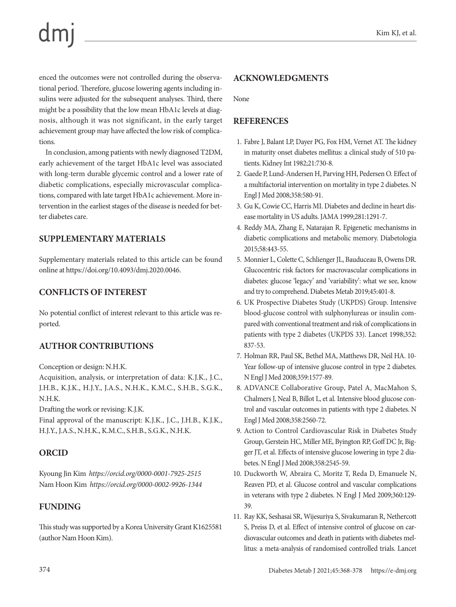enced the outcomes were not controlled during the observational period. Therefore, glucose lowering agents including insulins were adjusted for the subsequent analyses. Third, there might be a possibility that the low mean HbA1c levels at diagnosis, although it was not significant, in the early target achievement group may have affected the low risk of complications.

In conclusion, among patients with newly diagnosed T2DM, early achievement of the target HbA1c level was associated with long-term durable glycemic control and a lower rate of diabetic complications, especially microvascular complications, compared with late target HbA1c achievement. More intervention in the earliest stages of the disease is needed for better diabetes care.

# **SUPPLEMENTARY MATERIALS**

Supplementary materials related to this article can be found online at https://doi.org/10.4093/dmj.2020.0046.

# **CONFLICTS OF INTEREST**

No potential conflict of interest relevant to this article was reported.

# **AUTHOR CONTRIBUTIONS**

Conception or design: N.H.K.

Acquisition, analysis, or interpretation of data: K.J.K., J.C., J.H.B., K.J.K., H.J.Y., J.A.S., N.H.K., K.M.C., S.H.B., S.G.K., N.H.K.

Drafting the work or revising: K.J.K.

Final approval of the manuscript: K.J.K., J.C., J.H.B., K.J.K., H.J.Y., J.A.S., N.H.K., K.M.C., S.H.B., S.G.K., N.H.K.

# **ORCID**

Kyoung Jin Kim *https://orcid.org/0000-0001-7925-2515* Nam Hoon Kim *https://orcid.org/0000-0002-9926-1344*

# **FUNDING**

This study was supported by a Korea University Grant K1625581 (author Nam Hoon Kim).

# **ACKNOWLEDGMENTS**

None

# **REFERENCES**

- 1. Fabre J, Balant LP, Dayer PG, Fox HM, Vernet AT. The kidney in maturity onset diabetes mellitus: a clinical study of 510 patients. Kidney Int 1982;21:730-8.
- 2. Gaede P, Lund-Andersen H, Parving HH, Pedersen O. Effect of a multifactorial intervention on mortality in type 2 diabetes. N Engl J Med 2008;358:580-91.
- 3. Gu K, Cowie CC, Harris MI. Diabetes and decline in heart disease mortality in US adults. JAMA 1999;281:1291-7.
- 4. Reddy MA, Zhang E, Natarajan R. Epigenetic mechanisms in diabetic complications and metabolic memory. Diabetologia 2015;58:443-55.
- 5. Monnier L, Colette C, Schlienger JL, Bauduceau B, Owens DR. Glucocentric risk factors for macrovascular complications in diabetes: glucose 'legacy' and 'variability': what we see, know and try to comprehend. Diabetes Metab 2019;45:401-8.
- 6. UK Prospective Diabetes Study (UKPDS) Group. Intensive blood-glucose control with sulphonylureas or insulin compared with conventional treatment and risk of complications in patients with type 2 diabetes (UKPDS 33). Lancet 1998;352: 837-53.
- 7. Holman RR, Paul SK, Bethel MA, Matthews DR, Neil HA. 10- Year follow-up of intensive glucose control in type 2 diabetes. N Engl J Med 2008;359:1577-89.
- 8. ADVANCE Collaborative Group, Patel A, MacMahon S, Chalmers J, Neal B, Billot L, et al. Intensive blood glucose control and vascular outcomes in patients with type 2 diabetes. N Engl J Med 2008;358:2560-72.
- 9. Action to Control Cardiovascular Risk in Diabetes Study Group, Gerstein HC, Miller ME, Byington RP, Goff DC Jr, Bigger JT, et al. Effects of intensive glucose lowering in type 2 diabetes. N Engl J Med 2008;358:2545-59.
- 10. Duckworth W, Abraira C, Moritz T, Reda D, Emanuele N, Reaven PD, et al. Glucose control and vascular complications in veterans with type 2 diabetes. N Engl J Med 2009;360:129- 39.
- 11. Ray KK, Seshasai SR, Wijesuriya S, Sivakumaran R, Nethercott S, Preiss D, et al. Effect of intensive control of glucose on cardiovascular outcomes and death in patients with diabetes mellitus: a meta-analysis of randomised controlled trials. Lancet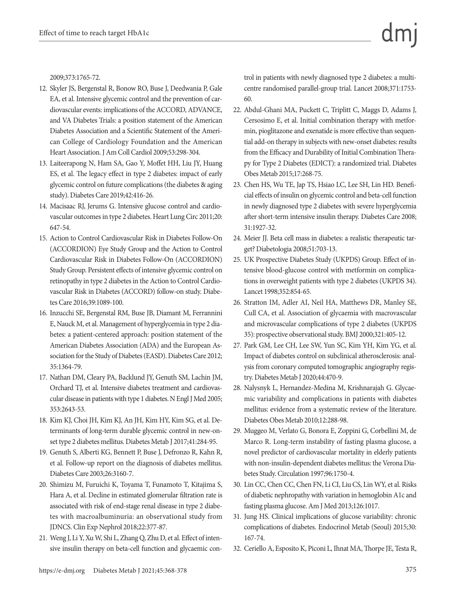2009;373:1765-72.

- 12. Skyler JS, Bergenstal R, Bonow RO, Buse J, Deedwania P, Gale EA, et al. Intensive glycemic control and the prevention of cardiovascular events: implications of the ACCORD, ADVANCE, and VA Diabetes Trials: a position statement of the American Diabetes Association and a Scientific Statement of the American College of Cardiology Foundation and the American Heart Association. J Am Coll Cardiol 2009;53:298-304.
- 13. Laiteerapong N, Ham SA, Gao Y, Moffet HH, Liu JY, Huang ES, et al. The legacy effect in type 2 diabetes: impact of early glycemic control on future complications (the diabetes & aging study). Diabetes Care 2019;42:416-26.
- 14. Macisaac RJ, Jerums G. Intensive glucose control and cardiovascular outcomes in type 2 diabetes. Heart Lung Circ 2011;20: 647-54.
- 15. Action to Control Cardiovascular Risk in Diabetes Follow-On (ACCORDION) Eye Study Group and the Action to Control Cardiovascular Risk in Diabetes Follow-On (ACCORDION) Study Group. Persistent effects of intensive glycemic control on retinopathy in type 2 diabetes in the Action to Control Cardiovascular Risk in Diabetes (ACCORD) follow-on study. Diabetes Care 2016;39:1089-100.
- 16. Inzucchi SE, Bergenstal RM, Buse JB, Diamant M, Ferrannini E, Nauck M, et al. Management of hyperglycemia in type 2 diabetes: a patient-centered approach: position statement of the American Diabetes Association (ADA) and the European Association for the Study of Diabetes (EASD). Diabetes Care 2012; 35:1364-79.
- 17. Nathan DM, Cleary PA, Backlund JY, Genuth SM, Lachin JM, Orchard TJ, et al. Intensive diabetes treatment and cardiovascular disease in patients with type 1 diabetes. N Engl J Med 2005; 353:2643-53.
- 18. Kim KJ, Choi JH, Kim KJ, An JH, Kim HY, Kim SG, et al. Determinants of long-term durable glycemic control in new-onset type 2 diabetes mellitus. Diabetes Metab J 2017;41:284-95.
- 19. Genuth S, Alberti KG, Bennett P, Buse J, Defronzo R, Kahn R, et al. Follow-up report on the diagnosis of diabetes mellitus. Diabetes Care 2003;26:3160-7.
- 20. Shimizu M, Furuichi K, Toyama T, Funamoto T, Kitajima S, Hara A, et al. Decline in estimated glomerular filtration rate is associated with risk of end-stage renal disease in type 2 diabetes with macroalbuminuria: an observational study from JDNCS. Clin Exp Nephrol 2018;22:377-87.
- 21. Weng J, Li Y, Xu W, Shi L, Zhang Q, Zhu D, et al. Effect of intensive insulin therapy on beta-cell function and glycaemic con-

trol in patients with newly diagnosed type 2 diabetes: a multicentre randomised parallel-group trial. Lancet 2008;371:1753- 60.

- 22. Abdul-Ghani MA, Puckett C, Triplitt C, Maggs D, Adams J, Cersosimo E, et al. Initial combination therapy with metformin, pioglitazone and exenatide is more effective than sequential add-on therapy in subjects with new-onset diabetes: results from the Efficacy and Durability of Initial Combination Therapy for Type 2 Diabetes (EDICT): a randomized trial. Diabetes Obes Metab 2015;17:268-75.
- 23. Chen HS, Wu TE, Jap TS, Hsiao LC, Lee SH, Lin HD. Beneficial effects of insulin on glycemic control and beta-cell function in newly diagnosed type 2 diabetes with severe hyperglycemia after short-term intensive insulin therapy. Diabetes Care 2008; 31:1927-32.
- 24. Meier JJ. Beta cell mass in diabetes: a realistic therapeutic target? Diabetologia 2008;51:703-13.
- 25. UK Prospective Diabetes Study (UKPDS) Group. Effect of intensive blood-glucose control with metformin on complications in overweight patients with type 2 diabetes (UKPDS 34). Lancet 1998;352:854-65.
- 26. Stratton IM, Adler AI, Neil HA, Matthews DR, Manley SE, Cull CA, et al. Association of glycaemia with macrovascular and microvascular complications of type 2 diabetes (UKPDS 35): prospective observational study. BMJ 2000;321:405-12.
- 27. Park GM, Lee CH, Lee SW, Yun SC, Kim YH, Kim YG, et al. Impact of diabetes control on subclinical atherosclerosis: analysis from coronary computed tomographic angiography registry. Diabetes Metab J 2020;44:470-9.
- 28. Nalysnyk L, Hernandez-Medina M, Krishnarajah G. Glycaemic variability and complications in patients with diabetes mellitus: evidence from a systematic review of the literature. Diabetes Obes Metab 2010;12:288-98.
- 29. Muggeo M, Verlato G, Bonora E, Zoppini G, Corbellini M, de Marco R. Long-term instability of fasting plasma glucose, a novel predictor of cardiovascular mortality in elderly patients with non-insulin-dependent diabetes mellitus: the Verona Diabetes Study. Circulation 1997;96:1750-4.
- 30. Lin CC, Chen CC, Chen FN, Li CI, Liu CS, Lin WY, et al. Risks of diabetic nephropathy with variation in hemoglobin A1c and fasting plasma glucose. Am J Med 2013;126:1017.
- 31. Jung HS. Clinical implications of glucose variability: chronic complications of diabetes. Endocrinol Metab (Seoul) 2015;30: 167-74.
- 32. Ceriello A, Esposito K, Piconi L, Ihnat MA, Thorpe JE, Testa R,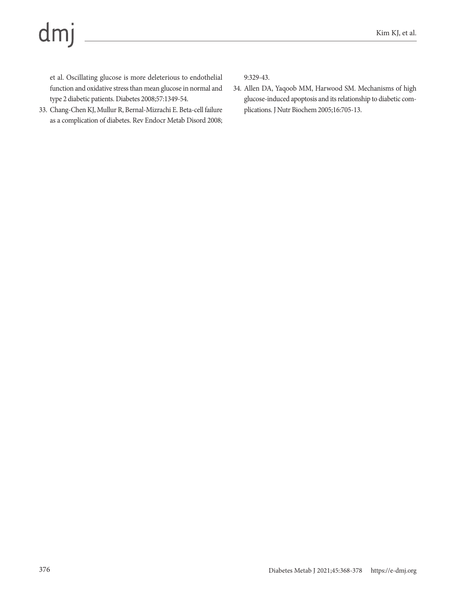# dmj

et al. Oscillating glucose is more deleterious to endothelial function and oxidative stress than mean glucose in normal and type 2 diabetic patients. Diabetes 2008;57:1349-54.

33. Chang-Chen KJ, Mullur R, Bernal-Mizrachi E. Beta-cell failure as a complication of diabetes. Rev Endocr Metab Disord 2008; 9:329-43.

34. Allen DA, Yaqoob MM, Harwood SM. Mechanisms of high glucose-induced apoptosis and its relationship to diabetic complications. J Nutr Biochem 2005;16:705-13.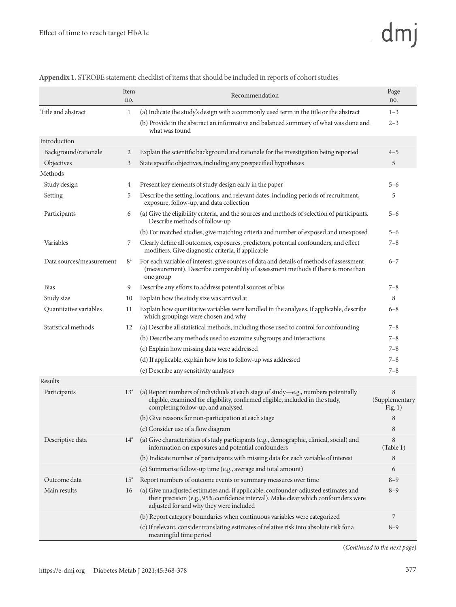|                          | Item<br>no.  | Recommendation                                                                                                                                                                                                       | Page<br>no.                      |
|--------------------------|--------------|----------------------------------------------------------------------------------------------------------------------------------------------------------------------------------------------------------------------|----------------------------------|
| Title and abstract       | 1            | (a) Indicate the study's design with a commonly used term in the title or the abstract                                                                                                                               | $1 - 3$                          |
|                          |              | (b) Provide in the abstract an informative and balanced summary of what was done and<br>what was found                                                                                                               | $2 - 3$                          |
| Introduction             |              |                                                                                                                                                                                                                      |                                  |
| Background/rationale     | 2            | Explain the scientific background and rationale for the investigation being reported                                                                                                                                 | $4 - 5$                          |
| Objectives               | 3            | State specific objectives, including any prespecified hypotheses                                                                                                                                                     | 5                                |
| Methods                  |              |                                                                                                                                                                                                                      |                                  |
| Study design             | 4            | Present key elements of study design early in the paper                                                                                                                                                              | $5 - 6$                          |
| Setting                  | 5            | Describe the setting, locations, and relevant dates, including periods of recruitment,<br>exposure, follow-up, and data collection                                                                                   | 5                                |
| Participants             | 6            | (a) Give the eligibility criteria, and the sources and methods of selection of participants.<br>Describe methods of follow-up                                                                                        | $5 - 6$                          |
|                          |              | (b) For matched studies, give matching criteria and number of exposed and unexposed                                                                                                                                  | $5 - 6$                          |
| Variables                | 7            | Clearly define all outcomes, exposures, predictors, potential confounders, and effect<br>modifiers. Give diagnostic criteria, if applicable                                                                          | $7 - 8$                          |
| Data sources/measurement | $8^{\circ}$  | For each variable of interest, give sources of data and details of methods of assessment<br>(measurement). Describe comparability of assessment methods if there is more than<br>one group                           | $6 - 7$                          |
| <b>Bias</b>              | 9            | Describe any efforts to address potential sources of bias                                                                                                                                                            | $7 - 8$                          |
| Study size               | 10           | Explain how the study size was arrived at                                                                                                                                                                            | 8                                |
| Quantitative variables   | 11           | Explain how quantitative variables were handled in the analyses. If applicable, describe<br>which groupings were chosen and why                                                                                      | $6 - 8$                          |
| Statistical methods      | 12           | (a) Describe all statistical methods, including those used to control for confounding                                                                                                                                | $7 - 8$                          |
|                          |              | (b) Describe any methods used to examine subgroups and interactions                                                                                                                                                  | $7 - 8$                          |
|                          |              | (c) Explain how missing data were addressed                                                                                                                                                                          | $7 - 8$                          |
|                          |              | (d) If applicable, explain how loss to follow-up was addressed                                                                                                                                                       | $7 - 8$                          |
|                          |              | (e) Describe any sensitivity analyses                                                                                                                                                                                | $7 - 8$                          |
| Results                  |              |                                                                                                                                                                                                                      |                                  |
| Participants             | $13^a$       | (a) Report numbers of individuals at each stage of study-e.g., numbers potentially<br>eligible, examined for eligibility, confirmed eligible, included in the study,<br>completing follow-up, and analysed           | 8<br>(Supplementary<br>Fig. $1)$ |
|                          |              | (b) Give reasons for non-participation at each stage                                                                                                                                                                 | 8                                |
|                          |              | (c) Consider use of a flow diagram                                                                                                                                                                                   | 8                                |
| Descriptive data         | $14^{\circ}$ | (a) Give characteristics of study participants (e.g., demographic, clinical, social) and<br>information on exposures and potential confounders                                                                       | 8<br>(Table 1)                   |
|                          |              | (b) Indicate number of participants with missing data for each variable of interest                                                                                                                                  | 8                                |
|                          |              | (c) Summarise follow-up time (e.g., average and total amount)                                                                                                                                                        | 6                                |
| Outcome data             | $15^{\circ}$ | Report numbers of outcome events or summary measures over time                                                                                                                                                       | $8 - 9$                          |
| Main results             | 16           | (a) Give unadjusted estimates and, if applicable, confounder-adjusted estimates and<br>their precision (e.g., 95% confidence interval). Make clear which confounders were<br>adjusted for and why they were included | $8 - 9$                          |
|                          |              | (b) Report category boundaries when continuous variables were categorized                                                                                                                                            | 7                                |
|                          |              | (c) If relevant, consider translating estimates of relative risk into absolute risk for a<br>meaningful time period                                                                                                  | $8 - 9$                          |

**Appendix 1.** STROBE statement: checklist of items that should be included in reports of cohort studies

(*Continued to the next page*)